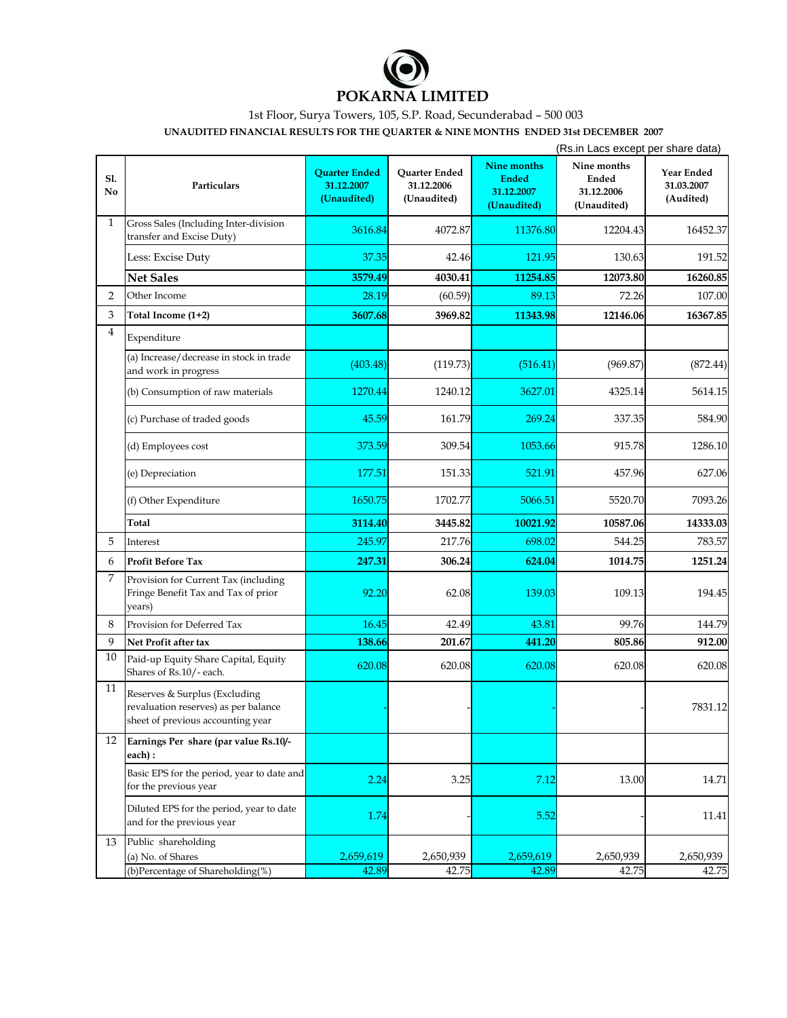

## 1st Floor, Surya Towers, 105, S.P. Road, Secunderabad – 500 003

**UNAUDITED FINANCIAL RESULTS FOR THE QUARTER & NINE MONTHS ENDED 31st DECEMBER 2007**

|              |                                                                                                            |                                                   |                                            |                                                                 | (Rs.in Lacs except per share data)                |                                       |
|--------------|------------------------------------------------------------------------------------------------------------|---------------------------------------------------|--------------------------------------------|-----------------------------------------------------------------|---------------------------------------------------|---------------------------------------|
| S1.<br>No    | Particulars                                                                                                | <b>Quarter Ended</b><br>31.12.2007<br>(Unaudited) | Quarter Ended<br>31.12.2006<br>(Unaudited) | <b>Nine months</b><br><b>Ended</b><br>31.12.2007<br>(Unaudited) | Nine months<br>Ended<br>31.12.2006<br>(Unaudited) | Year Ended<br>31.03.2007<br>(Audited) |
| $\mathbf{1}$ | Gross Sales (Including Inter-division<br>transfer and Excise Duty)                                         | 3616.84                                           | 4072.87                                    | 11376.80                                                        | 12204.43                                          | 16452.37                              |
|              | Less: Excise Duty                                                                                          | 37.35                                             | 42.46                                      | 121.95                                                          | 130.63                                            | 191.52                                |
|              | <b>Net Sales</b>                                                                                           | 3579.49                                           | 4030.41                                    | 11254.85                                                        | 12073.80                                          | 16260.85                              |
| 2            | Other Income                                                                                               | 28.19                                             | (60.59)                                    | 89.13                                                           | 72.26                                             | 107.00                                |
| 3            | Total Income (1+2)                                                                                         | 3607.68                                           | 3969.82                                    | 11343.98                                                        | 12146.06                                          | 16367.85                              |
| 4            | Expenditure                                                                                                |                                                   |                                            |                                                                 |                                                   |                                       |
|              | (a) Increase/decrease in stock in trade<br>and work in progress                                            | (403.48)                                          | (119.73)                                   | (516.41)                                                        | (969.87)                                          | (872.44)                              |
|              | (b) Consumption of raw materials                                                                           | 1270.44                                           | 1240.12                                    | 3627.01                                                         | 4325.14                                           | 5614.15                               |
|              | (c) Purchase of traded goods                                                                               | 45.59                                             | 161.79                                     | 269.24                                                          | 337.35                                            | 584.90                                |
|              | (d) Employees cost                                                                                         | 373.59                                            | 309.54                                     | 1053.66                                                         | 915.78                                            | 1286.10                               |
|              | (e) Depreciation                                                                                           | 177.51                                            | 151.33                                     | 521.91                                                          | 457.96                                            | 627.06                                |
|              | (f) Other Expenditure                                                                                      | 1650.75                                           | 1702.77                                    | 5066.51                                                         | 5520.70                                           | 7093.26                               |
|              | Total                                                                                                      | 3114.40                                           | 3445.82                                    | 10021.92                                                        | 10587.06                                          | 14333.03                              |
| 5            | Interest                                                                                                   | 245.97                                            | 217.76                                     | 698.02                                                          | 544.25                                            | 783.57                                |
| 6            | <b>Profit Before Tax</b>                                                                                   | 247.31                                            | 306.24                                     | 624.04                                                          | 1014.75                                           | 1251.24                               |
| 7            | Provision for Current Tax (including<br>Fringe Benefit Tax and Tax of prior<br>years)                      | 92.20                                             | 62.08                                      | 139.03                                                          | 109.13                                            | 194.45                                |
| 8            | Provision for Deferred Tax                                                                                 | 16.45                                             | 42.49                                      | 43.81                                                           | 99.76                                             | 144.79                                |
| 9            | Net Profit after tax                                                                                       | 138.66                                            | 201.67                                     | 441.20                                                          | 805.86                                            | 912.00                                |
| 10           | Paid-up Equity Share Capital, Equity<br>Shares of Rs.10/- each.                                            | 620.08                                            | 620.08                                     | 620.08                                                          | 620.08                                            | 620.08                                |
| 11           | Reserves & Surplus (Excluding<br>revaluation reserves) as per balance<br>sheet of previous accounting year |                                                   |                                            |                                                                 |                                                   | 7831.12                               |
| 12           | Earnings Per share (par value Rs.10/-<br>each):                                                            |                                                   |                                            |                                                                 |                                                   |                                       |
|              | Basic EPS for the period, year to date and<br>for the previous year                                        | 2.24                                              | 3.25                                       | 7.12                                                            | 13.00                                             | 14.71                                 |
|              | Diluted EPS for the period, year to date<br>and for the previous year                                      | 1.74                                              |                                            | 5.52                                                            |                                                   | 11.41                                 |
| 13           | Public shareholding<br>(a) No. of Shares                                                                   |                                                   |                                            |                                                                 |                                                   |                                       |
|              | (b)Percentage of Shareholding(%)                                                                           | 2,659,619<br>42.89                                | 2,650,939<br>42.75                         | 2,659,619<br>42.89                                              | 2,650,939<br>42.75                                | 2,650,939<br>42.75                    |